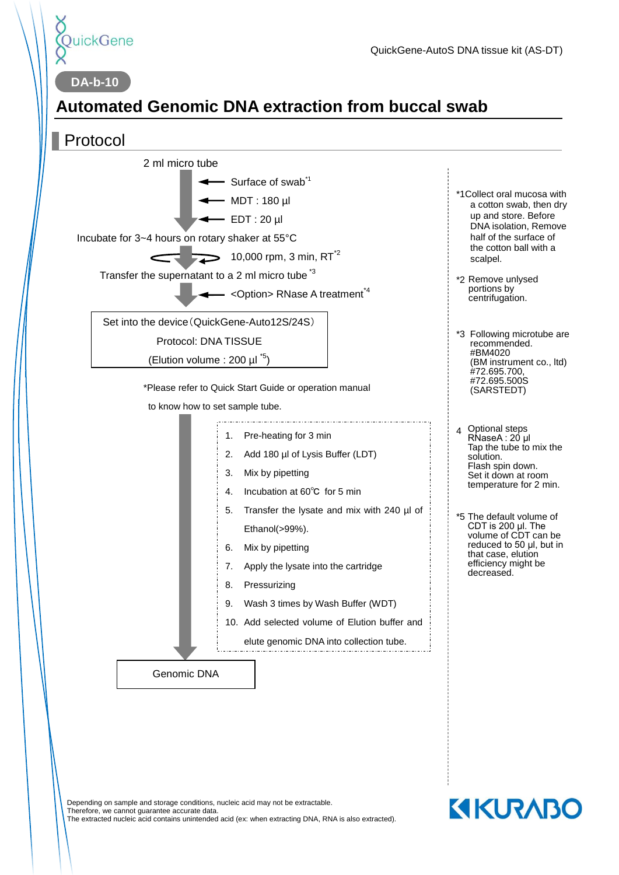

**DA-b-10**

# **Automated Genomic DNA extraction from buccal swab**

### Protocol